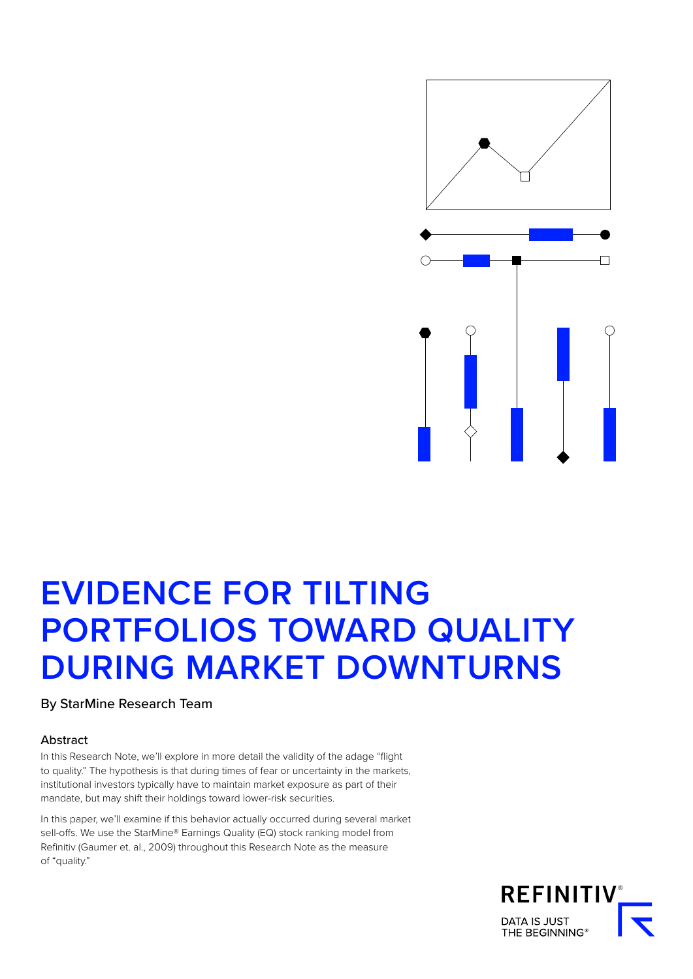

# **EVIDENCE FOR TILTING PORTFOLIOS TOWARD QUALITY DURING MARKET DOWNTURNS**

By StarMine Research Team

#### Abstract

In this Research Note, we'll explore in more detail the validity of the adage "flight to quality." The hypothesis is that during times of fear or uncertainty in the markets, institutional investors typically have to maintain market exposure as part of their mandate, but may shift their holdings toward lower-risk securities.

In this paper, we'll examine if this behavior actually occurred during several market sell-offs. We use the StarMine® Earnings Quality (EQ) stock ranking model from Refinitiv (Gaumer et. al., 2009) throughout this Research Note as the measure of "quality."

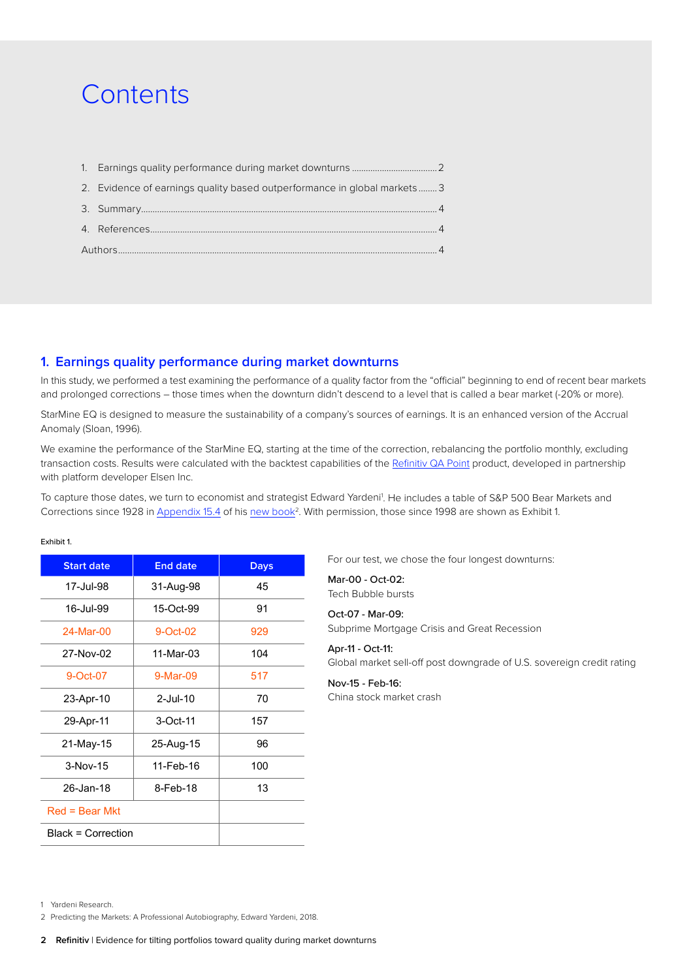## **Contents**

| 2. Evidence of earnings quality based outperformance in global markets 3 |  |  |  |  |  |
|--------------------------------------------------------------------------|--|--|--|--|--|
|                                                                          |  |  |  |  |  |
|                                                                          |  |  |  |  |  |
|                                                                          |  |  |  |  |  |

## **1. Earnings quality performance during market downturns**

In this study, we performed a test examining the performance of a quality factor from the "official" beginning to end of recent bear markets and prolonged corrections – those times when the downturn didn't descend to a level that is called a bear market (-20% or more).

StarMine EQ is designed to measure the sustainability of a company's sources of earnings. It is an enhanced version of the Accrual Anomaly (Sloan, 1996).

We examine the performance of the StarMine EQ, starting at the time of the correction, rebalancing the portfolio monthly, excluding transaction costs. Results were calculated with the backtest capabilities of the [Refinitiv QA Point](https://www.refinitiv.com/en/products/qa-point-quantitative-investment-management/) product, developed in partnership with platform developer Elsen Inc.

To capture those dates, we turn to economist and strategist Edward Yardeni<sup>1</sup>. He includes a table of S&P 500 Bear Markets and Corrections since 1928 in [Appendix 15.4](https://urldefense.proofpoint.com/v2/url?u=https-3A__www.yardenibook.com_pub_15.4appendix.pdf&d=DwMFAg&c=4ZIZThykDLcoWk-GVjSLmy8-1Cr1I4FWIvbLFebwKgY&r=OPmtoqASMWsfHkx1B4EawjYHSJza-_yl62-cjptmHmo&m=-RcnyHd3KX_vFf3QNSyrrfk6IF-LvutoNtTK52GOkhY&s=uUk9h-aaSJQihB22QTzxfXjDgGyTQ_hspFcWQRnnPCU&e=) of his new book<sup>2</sup>. With permission, those since 1998 are shown as Exhibit 1.

#### Exhibit 1.

| <b>Start date</b>  | <b>End date</b> | <b>Days</b> |  |
|--------------------|-----------------|-------------|--|
| 17-Jul-98          | 31-Aug-98       | 45          |  |
| 16-Jul-99          | 15-Oct-99       | 91          |  |
| $24-Mar-00$        | 9-Oct-02        | 929         |  |
| 27-Nov-02          | 11-Mar-03       | 104         |  |
| 9-Oct-07           | 9-Mar-09        | 517         |  |
| 23-Apr-10          | $2$ -Jul-10     | 70          |  |
| 29-Apr-11          | 3-Oct-11        | 157         |  |
| 21-May-15          | 25-Aug-15       | 96          |  |
| $3-Nov-15$         | 11-Feb-16       | 100         |  |
| 26-Jan-18          | 8-Feb-18        | 13          |  |
| $Red = Bear$ Mkt   |                 |             |  |
| Black = Correction |                 |             |  |

For our test, we chose the four longest downturns:

Mar-00 - Oct-02: Tech Bubble bursts

## Oct-07 - Mar-09:

Subprime Mortgage Crisis and Great Recession

#### Apr-11 - Oct-11: Global market sell-off post downgrade of U.S. sovereign credit rating

Nov-15 - Feb-16:

China stock market crash

<sup>1</sup> Yardeni Research.

<sup>2</sup> Predicting the Markets: A Professional Autobiography, Edward Yardeni, 2018.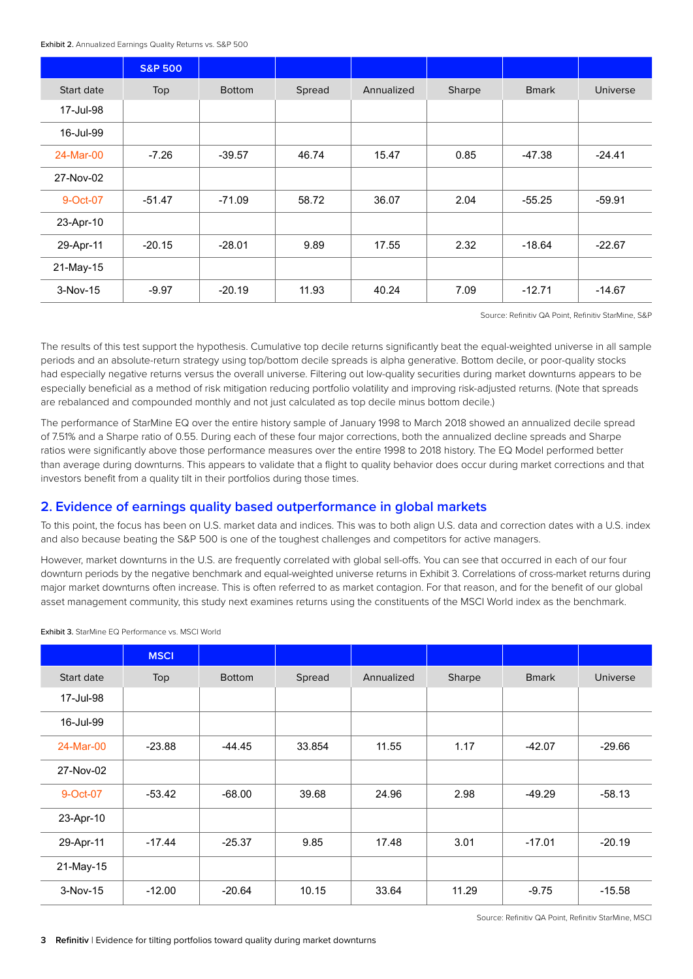<span id="page-2-0"></span>

| Exhibit 2. Annualized Earnings Quality Returns vs. S&P 500 |  |  |  |
|------------------------------------------------------------|--|--|--|
|------------------------------------------------------------|--|--|--|

|            | <b>S&amp;P 500</b> |               |        |            |        |               |          |
|------------|--------------------|---------------|--------|------------|--------|---------------|----------|
| Start date | Top                | <b>Bottom</b> | Spread | Annualized | Sharpe | <b>B</b> mark | Universe |
| 17-Jul-98  |                    |               |        |            |        |               |          |
| 16-Jul-99  |                    |               |        |            |        |               |          |
| 24-Mar-00  | $-7.26$            | $-39.57$      | 46.74  | 15.47      | 0.85   | -47.38        | $-24.41$ |
| 27-Nov-02  |                    |               |        |            |        |               |          |
| 9-Oct-07   | $-51.47$           | $-71.09$      | 58.72  | 36.07      | 2.04   | $-55.25$      | $-59.91$ |
| 23-Apr-10  |                    |               |        |            |        |               |          |
| 29-Apr-11  | $-20.15$           | $-28.01$      | 9.89   | 17.55      | 2.32   | $-18.64$      | $-22.67$ |
| 21-May-15  |                    |               |        |            |        |               |          |
| $3-Nov-15$ | $-9.97$            | $-20.19$      | 11.93  | 40.24      | 7.09   | $-12.71$      | $-14.67$ |

Source: Refinitiv OA Point, Refinitiv StarMine, S&P

The results of this test support the hypothesis. Cumulative top decile returns significantly beat the equal-weighted universe in all sample periods and an absolute-return strategy using top/bottom decile spreads is alpha generative. Bottom decile, or poor-quality stocks had especially negative returns versus the overall universe. Filtering out low-quality securities during market downturns appears to be especially beneficial as a method of risk mitigation reducing portfolio volatility and improving risk-adjusted returns. (Note that spreads are rebalanced and compounded monthly and not just calculated as top decile minus bottom decile.)

The performance of StarMine EQ over the entire history sample of January 1998 to March 2018 showed an annualized decile spread of 7.51% and a Sharpe ratio of 0.55. During each of these four major corrections, both the annualized decline spreads and Sharpe ratios were significantly above those performance measures over the entire 1998 to 2018 history. The EQ Model performed better than average during downturns. This appears to validate that a flight to quality behavior does occur during market corrections and that investors benefit from a quality tilt in their portfolios during those times.

## **2. Evidence of earnings quality based outperformance in global markets**

To this point, the focus has been on U.S. market data and indices. This was to both align U.S. data and correction dates with a U.S. index and also because beating the S&P 500 is one of the toughest challenges and competitors for active managers.

However, market downturns in the U.S. are frequently correlated with global sell-offs. You can see that occurred in each of our four downturn periods by the negative benchmark and equal-weighted universe returns in Exhibit 3. Correlations of cross-market returns during major market downturns often increase. This is often referred to as market contagion. For that reason, and for the benefit of our global asset management community, this study next examines returns using the constituents of the MSCI World index as the benchmark.

Exhibit 3. StarMine EQ Performance vs. MSCI World

|            | <b>MSCI</b> |               |        |            |        |               |                 |
|------------|-------------|---------------|--------|------------|--------|---------------|-----------------|
| Start date | Top         | <b>Bottom</b> | Spread | Annualized | Sharpe | <b>B</b> mark | <b>Universe</b> |
| 17-Jul-98  |             |               |        |            |        |               |                 |
| 16-Jul-99  |             |               |        |            |        |               |                 |
| 24-Mar-00  | $-23.88$    | -44.45        | 33.854 | 11.55      | 1.17   | $-42.07$      | $-29.66$        |
| 27-Nov-02  |             |               |        |            |        |               |                 |
| 9-Oct-07   | $-53.42$    | $-68.00$      | 39.68  | 24.96      | 2.98   | $-49.29$      | $-58.13$        |
| 23-Apr-10  |             |               |        |            |        |               |                 |
| 29-Apr-11  | $-17.44$    | $-25.37$      | 9.85   | 17.48      | 3.01   | $-17.01$      | $-20.19$        |
| 21-May-15  |             |               |        |            |        |               |                 |
| $3-Nov-15$ | $-12.00$    | $-20.64$      | 10.15  | 33.64      | 11.29  | $-9.75$       | $-15.58$        |